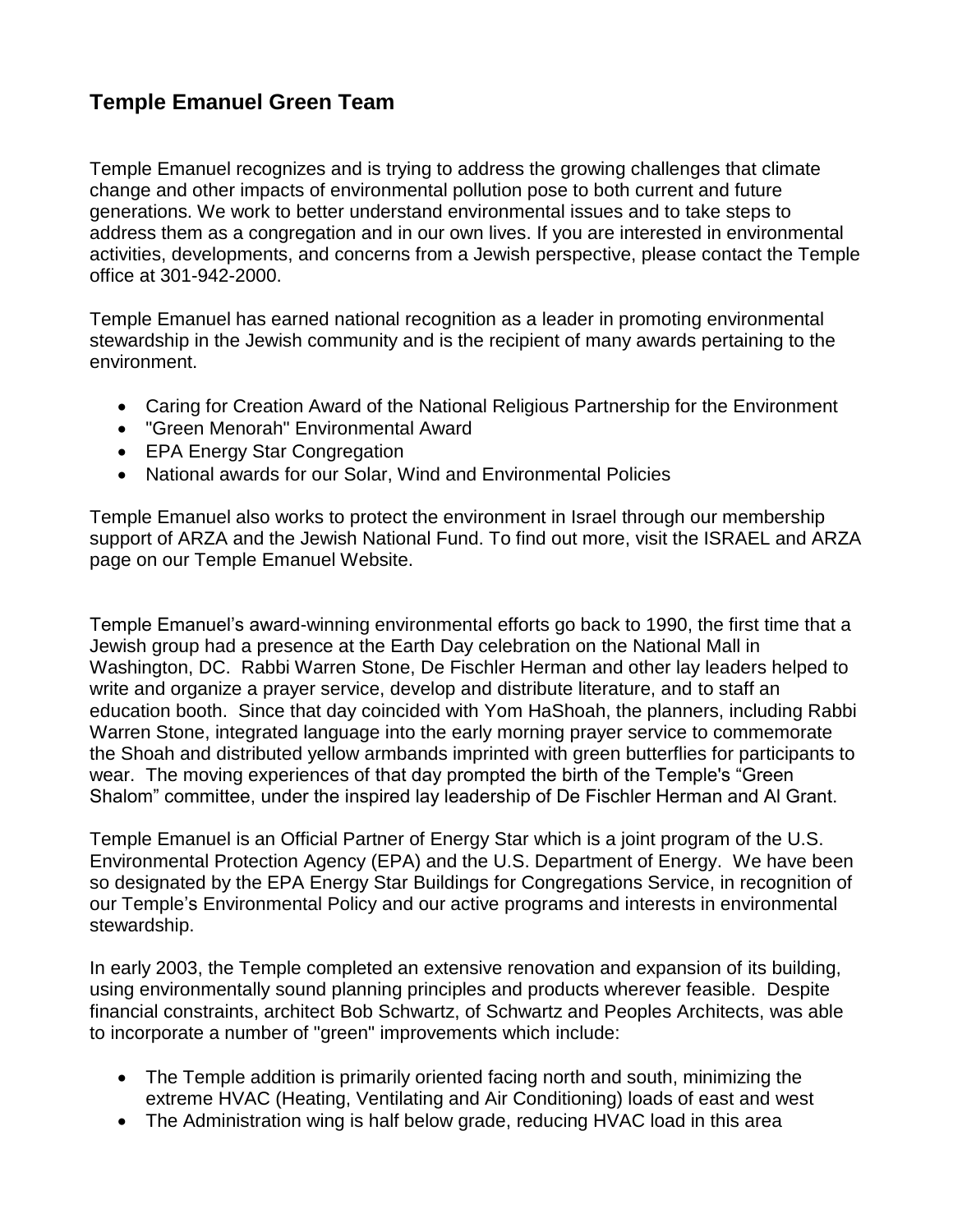# **Temple Emanuel Green Team**

Temple Emanuel recognizes and is trying to address the growing challenges that climate change and other impacts of environmental pollution pose to both current and future generations. We work to better understand environmental issues and to take steps to address them as a congregation and in our own lives. If you are interested in environmental activities, developments, and concerns from a Jewish perspective, please contact the Temple office at 301-942-2000.

Temple Emanuel has earned national recognition as a leader in promoting environmental stewardship in the Jewish community and is the recipient of many awards pertaining to the environment.

- Caring for Creation Award of the National Religious Partnership for the Environment
- "Green Menorah" Environmental Award
- EPA Energy Star Congregation
- National awards for our Solar, Wind and Environmental Policies

Temple Emanuel also works to protect the environment in Israel through our membership support of ARZA and the Jewish National Fund. To find out more, visit the ISRAEL and ARZA page on our Temple Emanuel Website.

Temple Emanuel's award-winning environmental efforts go back to 1990, the first time that a Jewish group had a presence at the Earth Day celebration on the National Mall in Washington, DC. Rabbi Warren Stone, De Fischler Herman and other lay leaders helped to write and organize a prayer service, develop and distribute literature, and to staff an education booth. Since that day coincided with Yom HaShoah, the planners, including Rabbi Warren Stone, integrated language into the early morning prayer service to commemorate the Shoah and distributed yellow armbands imprinted with green butterflies for participants to wear. The moving experiences of that day prompted the birth of the Temple's "Green Shalom" committee, under the inspired lay leadership of De Fischler Herman and Al Grant.

Temple Emanuel is an Official Partner of Energy Star which is a joint program of the U.S. Environmental Protection Agency (EPA) and the U.S. Department of Energy. We have been so designated by the EPA Energy Star Buildings for Congregations Service, in recognition of our Temple's Environmental Policy and our active programs and interests in environmental stewardship.

In early 2003, the Temple completed an extensive renovation and expansion of its building, using environmentally sound planning principles and products wherever feasible. Despite financial constraints, architect Bob Schwartz, of Schwartz and Peoples Architects, was able to incorporate a number of "green" improvements which include:

- The Temple addition is primarily oriented facing north and south, minimizing the extreme HVAC (Heating, Ventilating and Air Conditioning) loads of east and west
- The Administration wing is half below grade, reducing HVAC load in this area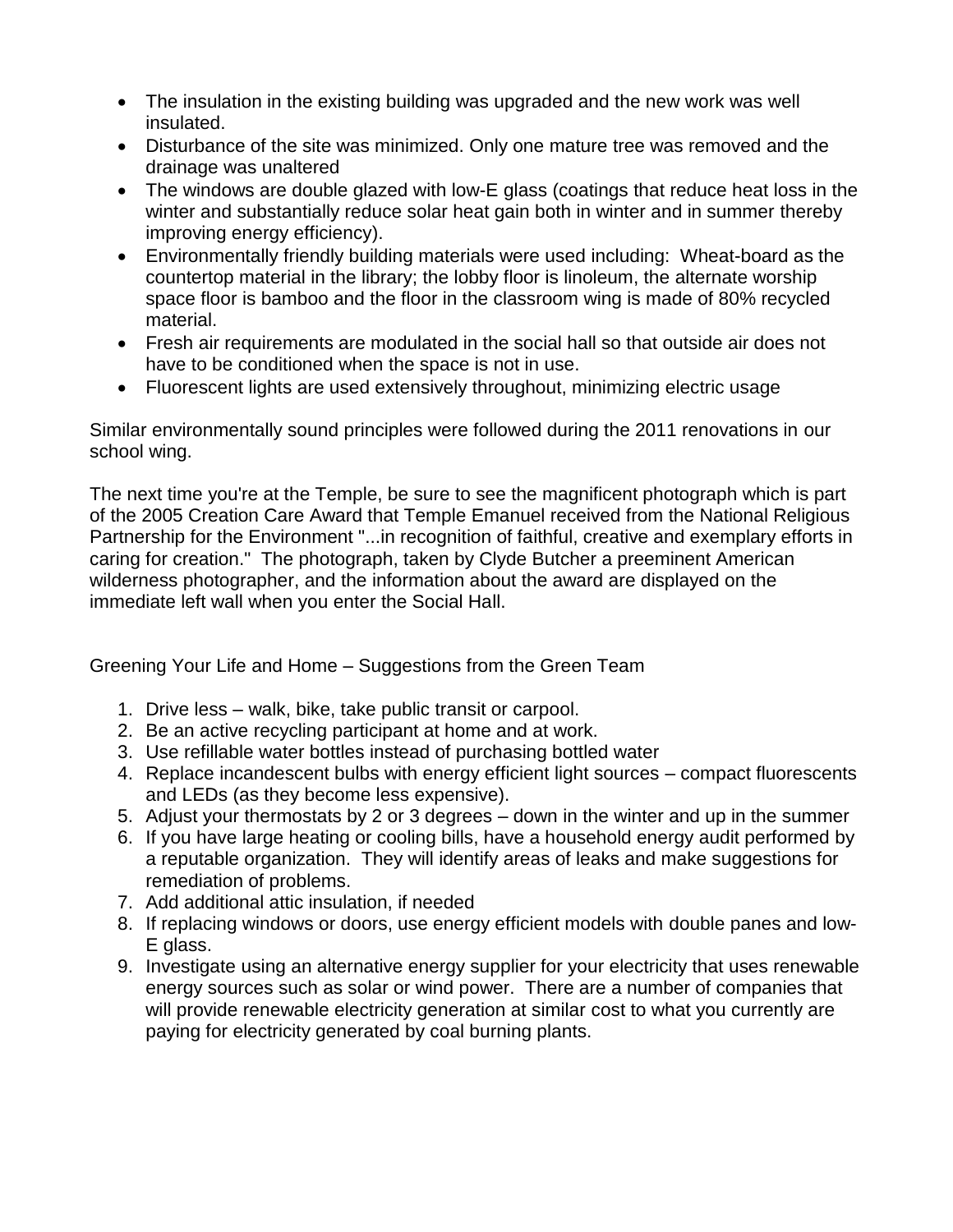- The insulation in the existing building was upgraded and the new work was well insulated.
- Disturbance of the site was minimized. Only one mature tree was removed and the drainage was unaltered
- The windows are double glazed with low-E glass (coatings that reduce heat loss in the winter and substantially reduce solar heat gain both in winter and in summer thereby improving energy efficiency).
- Environmentally friendly building materials were used including: Wheat-board as the countertop material in the library; the lobby floor is linoleum, the alternate worship space floor is bamboo and the floor in the classroom wing is made of 80% recycled material.
- Fresh air requirements are modulated in the social hall so that outside air does not have to be conditioned when the space is not in use.
- Fluorescent lights are used extensively throughout, minimizing electric usage

Similar environmentally sound principles were followed during the 2011 renovations in our school wing.

The next time you're at the Temple, be sure to see the magnificent photograph which is part of the 2005 Creation Care Award that Temple Emanuel received from the National Religious Partnership for the Environment "...in recognition of faithful, creative and exemplary efforts in caring for creation." The photograph, taken by Clyde Butcher a preeminent American wilderness photographer, and the information about the award are displayed on the immediate left wall when you enter the Social Hall.

Greening Your Life and Home – Suggestions from the Green Team

- 1. Drive less walk, bike, take public transit or carpool.
- 2. Be an active recycling participant at home and at work.
- 3. Use refillable water bottles instead of purchasing bottled water
- 4. Replace incandescent bulbs with energy efficient light sources compact fluorescents and LEDs (as they become less expensive).
- 5. Adjust your thermostats by 2 or 3 degrees down in the winter and up in the summer
- 6. If you have large heating or cooling bills, have a household energy audit performed by a reputable organization. They will identify areas of leaks and make suggestions for remediation of problems.
- 7. Add additional attic insulation, if needed
- 8. If replacing windows or doors, use energy efficient models with double panes and low-E glass.
- 9. Investigate using an alternative energy supplier for your electricity that uses renewable energy sources such as solar or wind power. There are a number of companies that will provide renewable electricity generation at similar cost to what you currently are paying for electricity generated by coal burning plants.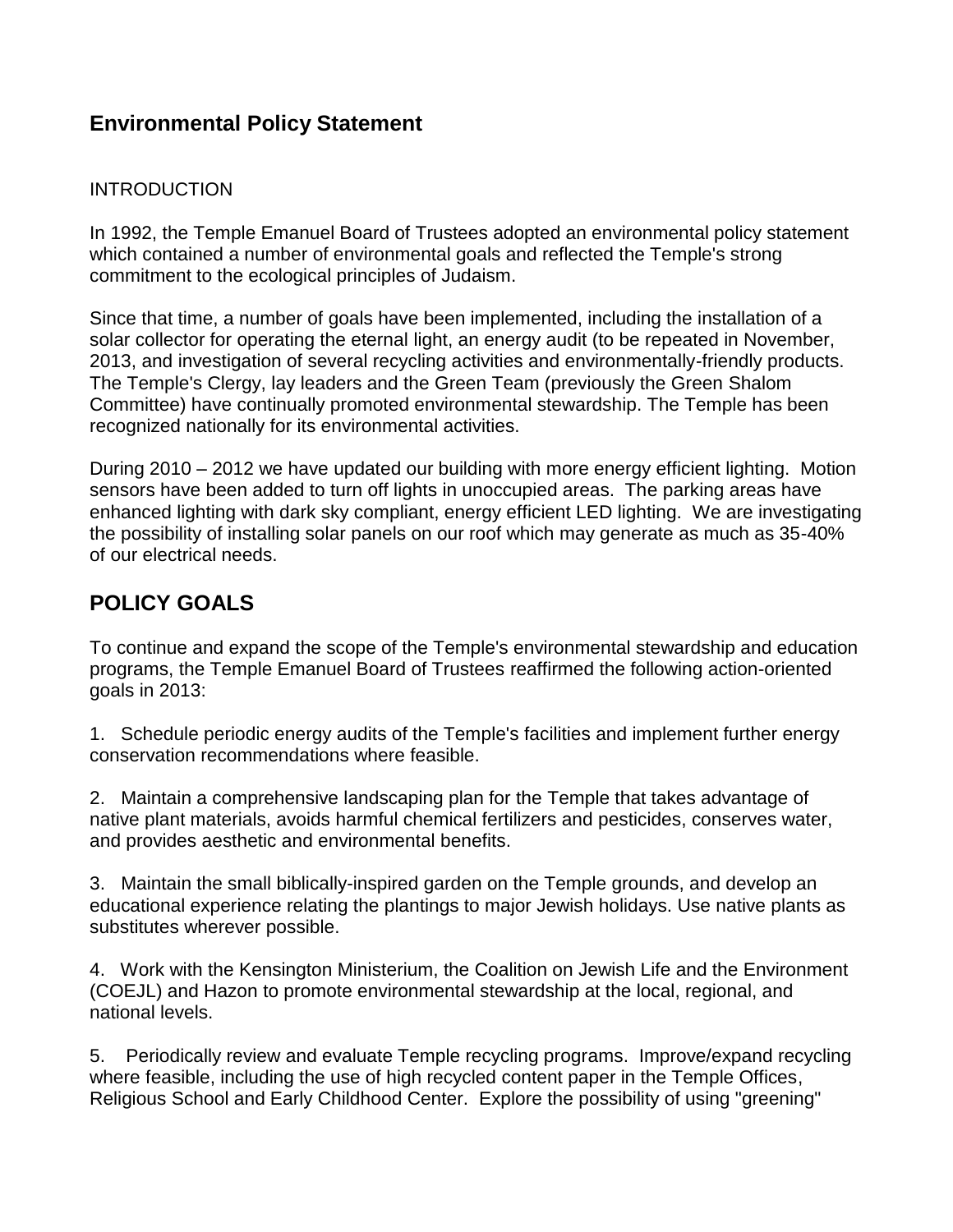### **Environmental Policy Statement**

#### INTRODUCTION

In 1992, the Temple Emanuel Board of Trustees adopted an environmental policy statement which contained a number of environmental goals and reflected the Temple's strong commitment to the ecological principles of Judaism.

Since that time, a number of goals have been implemented, including the installation of a solar collector for operating the eternal light, an energy audit (to be repeated in November, 2013, and investigation of several recycling activities and environmentally-friendly products. The Temple's Clergy, lay leaders and the Green Team (previously the Green Shalom Committee) have continually promoted environmental stewardship. The Temple has been recognized nationally for its environmental activities.

During 2010 – 2012 we have updated our building with more energy efficient lighting. Motion sensors have been added to turn off lights in unoccupied areas. The parking areas have enhanced lighting with dark sky compliant, energy efficient LED lighting. We are investigating the possibility of installing solar panels on our roof which may generate as much as 35-40% of our electrical needs.

## **POLICY GOALS**

To continue and expand the scope of the Temple's environmental stewardship and education programs, the Temple Emanuel Board of Trustees reaffirmed the following action-oriented goals in 2013:

1. Schedule periodic energy audits of the Temple's facilities and implement further energy conservation recommendations where feasible.

2. Maintain a comprehensive landscaping plan for the Temple that takes advantage of native plant materials, avoids harmful chemical fertilizers and pesticides, conserves water, and provides aesthetic and environmental benefits.

3. Maintain the small biblically-inspired garden on the Temple grounds, and develop an educational experience relating the plantings to major Jewish holidays. Use native plants as substitutes wherever possible.

4. Work with the Kensington Ministerium, the Coalition on Jewish Life and the Environment (COEJL) and Hazon to promote environmental stewardship at the local, regional, and national levels.

5. Periodically review and evaluate Temple recycling programs. Improve/expand recycling where feasible, including the use of high recycled content paper in the Temple Offices, Religious School and Early Childhood Center. Explore the possibility of using "greening"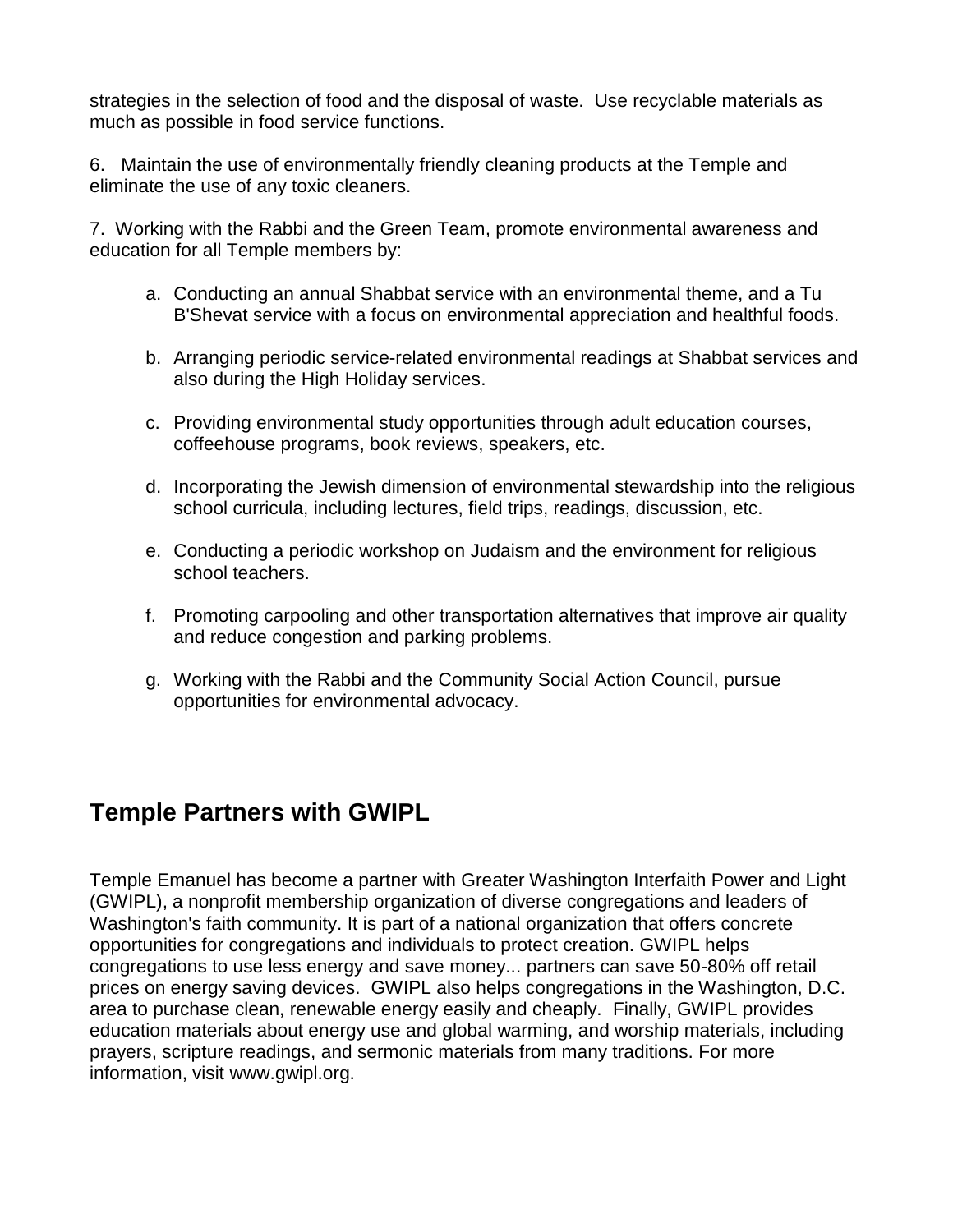strategies in the selection of food and the disposal of waste. Use recyclable materials as much as possible in food service functions.

6. Maintain the use of environmentally friendly cleaning products at the Temple and eliminate the use of any toxic cleaners.

7. Working with the Rabbi and the Green Team, promote environmental awareness and education for all Temple members by:

- a. Conducting an annual Shabbat service with an environmental theme, and a Tu B'Shevat service with a focus on environmental appreciation and healthful foods.
- b. Arranging periodic service-related environmental readings at Shabbat services and also during the High Holiday services.
- c. Providing environmental study opportunities through adult education courses, coffeehouse programs, book reviews, speakers, etc.
- d. Incorporating the Jewish dimension of environmental stewardship into the religious school curricula, including lectures, field trips, readings, discussion, etc.
- e. Conducting a periodic workshop on Judaism and the environment for religious school teachers.
- f. Promoting carpooling and other transportation alternatives that improve air quality and reduce congestion and parking problems.
- g. Working with the Rabbi and the Community Social Action Council, pursue opportunities for environmental advocacy.

# **Temple Partners with GWIPL**

Temple Emanuel has become a partner with Greater Washington Interfaith Power and Light (GWIPL), a nonprofit membership organization of diverse congregations and leaders of Washington's faith community. It is part of a national organization that offers concrete opportunities for congregations and individuals to protect creation. GWIPL helps congregations to use less energy and save money... partners can save 50-80% off retail prices on energy saving devices. GWIPL also helps congregations in the Washington, D.C. area to purchase clean, renewable energy easily and cheaply. Finally, GWIPL provides education materials about energy use and global warming, and worship materials, including prayers, scripture readings, and sermonic materials from many traditions. For more information, visit www.gwipl.org.